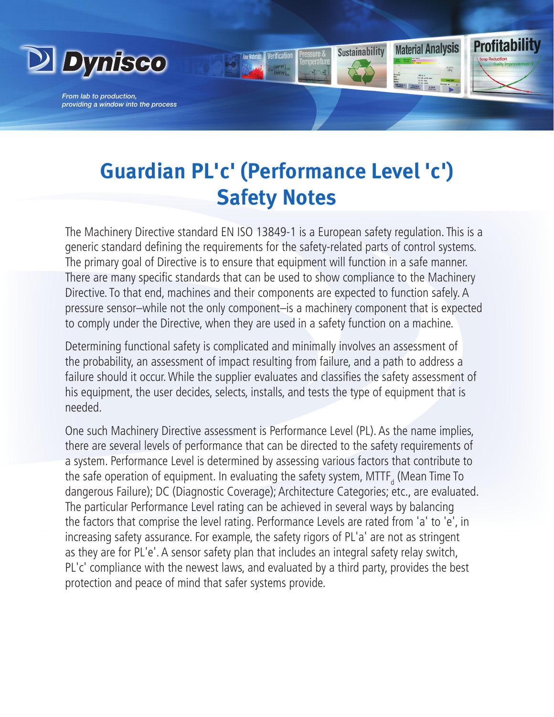

*From lab to production, providing a window into the process*

## **Guardian PL'c' (Performance Level 'c') Safety Notes**

*Jerificatio* 

**Profitability** 

**Material Analysis** 

**Sustainability** 

The Machinery Directive standard EN ISO 13849-1 is a European safety regulation. This is a generic standard defining the requirements for the safety-related parts of control systems. The primary goal of Directive is to ensure that equipment will function in a safe manner. There are many specific standards that can be used to show compliance to the Machinery Directive. To that end, machines and their components are expected to function safely. A pressure sensor–while not the only component–is a machinery component that is expected to comply under the Directive, when they are used in a safety function on a machine.

Determining functional safety is complicated and minimally involves an assessment of the probability, an assessment of impact resulting from failure, and a path to address a failure should it occur. While the supplier evaluates and classifies the safety assessment of his equipment, the user decides, selects, installs, and tests the type of equipment that is needed.

One such Machinery Directive assessment is Performance Level (PL). As the name implies, there are several levels of performance that can be directed to the safety requirements of a system. Performance Level is determined by assessing various factors that contribute to the safe operation of equipment. In evaluating the safety system, MTTF<sub>d</sub> (Mean Time To dangerous Failure); DC (Diagnostic Coverage); Architecture Categories; etc., are evaluated. The particular Performance Level rating can be achieved in several ways by balancing the factors that comprise the level rating. Performance Levels are rated from 'a' to 'e', in increasing safety assurance. For example, the safety rigors of PL'a' are not as stringent as they are for PL'e'. A sensor safety plan that includes an integral safety relay switch, PL'c' compliance with the newest laws, and evaluated by a third party, provides the best protection and peace of mind that safer systems provide.